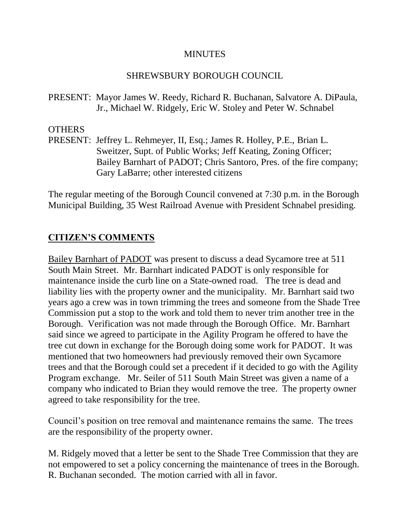#### **MINUTES**

## SHREWSBURY BOROUGH COUNCIL

PRESENT: Mayor James W. Reedy, Richard R. Buchanan, Salvatore A. DiPaula, Jr., Michael W. Ridgely, Eric W. Stoley and Peter W. Schnabel

## OTHERS

PRESENT: Jeffrey L. Rehmeyer, II, Esq.; James R. Holley, P.E., Brian L. Sweitzer, Supt. of Public Works; Jeff Keating, Zoning Officer; Bailey Barnhart of PADOT; Chris Santoro, Pres. of the fire company; Gary LaBarre; other interested citizens

The regular meeting of the Borough Council convened at 7:30 p.m. in the Borough Municipal Building, 35 West Railroad Avenue with President Schnabel presiding.

# **CITIZEN'S COMMENTS**

Bailey Barnhart of PADOT was present to discuss a dead Sycamore tree at 511 South Main Street. Mr. Barnhart indicated PADOT is only responsible for maintenance inside the curb line on a State-owned road. The tree is dead and liability lies with the property owner and the municipality. Mr. Barnhart said two years ago a crew was in town trimming the trees and someone from the Shade Tree Commission put a stop to the work and told them to never trim another tree in the Borough. Verification was not made through the Borough Office. Mr. Barnhart said since we agreed to participate in the Agility Program he offered to have the tree cut down in exchange for the Borough doing some work for PADOT. It was mentioned that two homeowners had previously removed their own Sycamore trees and that the Borough could set a precedent if it decided to go with the Agility Program exchange. Mr. Seiler of 511 South Main Street was given a name of a company who indicated to Brian they would remove the tree. The property owner agreed to take responsibility for the tree.

Council's position on tree removal and maintenance remains the same. The trees are the responsibility of the property owner.

M. Ridgely moved that a letter be sent to the Shade Tree Commission that they are not empowered to set a policy concerning the maintenance of trees in the Borough. R. Buchanan seconded. The motion carried with all in favor.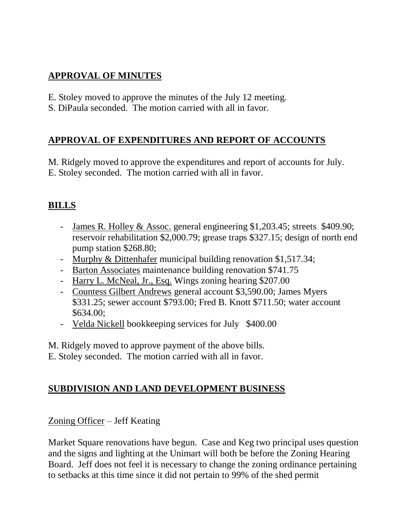# **APPROVAL OF MINUTES**

- E. Stoley moved to approve the minutes of the July 12 meeting.
- S. DiPaula seconded. The motion carried with all in favor.

# **APPROVAL OF EXPENDITURES AND REPORT OF ACCOUNTS**

M. Ridgely moved to approve the expenditures and report of accounts for July. E. Stoley seconded. The motion carried with all in favor.

# **BILLS**

- James R. Holley & Assoc. general engineering \$1,203.45; streets \$409.90; reservoir rehabilitation \$2,000.79; grease traps \$327.15; design of north end pump station \$268.80;
- Murphy & Dittenhafer municipal building renovation \$1,517.34;
- Barton Associates maintenance building renovation \$741.75
- Harry L. McNeal, Jr., Esq. Wings zoning hearing \$207.00
- Countess Gilbert Andrews general account \$3,590.00; James Myers \$331.25; sewer account \$793.00; Fred B. Knott \$711.50; water account \$634.00;
- Velda Nickell bookkeeping services for July \$400.00

M. Ridgely moved to approve payment of the above bills.

E. Stoley seconded. The motion carried with all in favor.

# **SUBDIVISION AND LAND DEVELOPMENT BUSINESS**

# Zoning Officer – Jeff Keating

Market Square renovations have begun. Case and Keg two principal uses question and the signs and lighting at the Unimart will both be before the Zoning Hearing Board. Jeff does not feel it is necessary to change the zoning ordinance pertaining to setbacks at this time since it did not pertain to 99% of the shed permit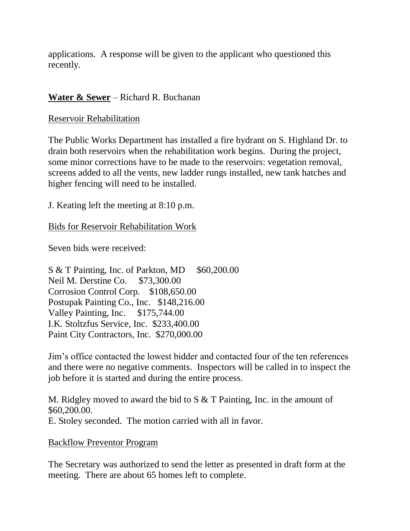applications. A response will be given to the applicant who questioned this recently.

# **Water & Sewer** – Richard R. Buchanan

#### Reservoir Rehabilitation

The Public Works Department has installed a fire hydrant on S. Highland Dr. to drain both reservoirs when the rehabilitation work begins. During the project, some minor corrections have to be made to the reservoirs: vegetation removal, screens added to all the vents, new ladder rungs installed, new tank hatches and higher fencing will need to be installed.

J. Keating left the meeting at 8:10 p.m.

Bids for Reservoir Rehabilitation Work

Seven bids were received:

 $S & T$  Painting, Inc. of Parkton, MD  $$60,200.00$ Neil M. Derstine Co. \$73,300.00 Corrosion Control Corp. \$108,650.00 Postupak Painting Co., Inc. \$148,216.00 Valley Painting, Inc. \$175,744.00 I.K. Stoltzfus Service, Inc. \$233,400.00 Paint City Contractors, Inc. \$270,000.00

Jim's office contacted the lowest bidder and contacted four of the ten references and there were no negative comments. Inspectors will be called in to inspect the job before it is started and during the entire process.

M. Ridgley moved to award the bid to S & T Painting, Inc. in the amount of \$60,200.00. E. Stoley seconded. The motion carried with all in favor.

#### Backflow Preventor Program

The Secretary was authorized to send the letter as presented in draft form at the meeting. There are about 65 homes left to complete.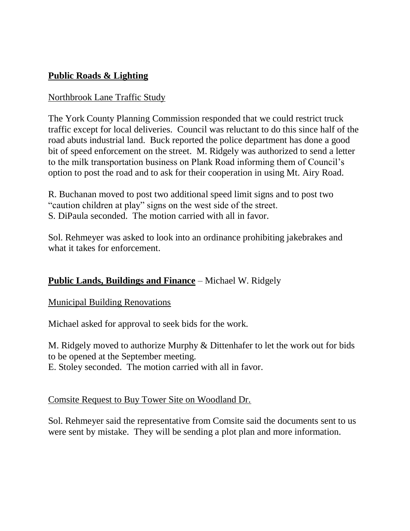# **Public Roads & Lighting**

## Northbrook Lane Traffic Study

The York County Planning Commission responded that we could restrict truck traffic except for local deliveries. Council was reluctant to do this since half of the road abuts industrial land. Buck reported the police department has done a good bit of speed enforcement on the street. M. Ridgely was authorized to send a letter to the milk transportation business on Plank Road informing them of Council's option to post the road and to ask for their cooperation in using Mt. Airy Road.

R. Buchanan moved to post two additional speed limit signs and to post two "caution children at play" signs on the west side of the street. S. DiPaula seconded. The motion carried with all in favor.

Sol. Rehmeyer was asked to look into an ordinance prohibiting jakebrakes and what it takes for enforcement.

# **Public Lands, Buildings and Finance** – Michael W. Ridgely

Municipal Building Renovations

Michael asked for approval to seek bids for the work.

M. Ridgely moved to authorize Murphy & Dittenhafer to let the work out for bids to be opened at the September meeting.

E. Stoley seconded. The motion carried with all in favor.

Comsite Request to Buy Tower Site on Woodland Dr.

Sol. Rehmeyer said the representative from Comsite said the documents sent to us were sent by mistake. They will be sending a plot plan and more information.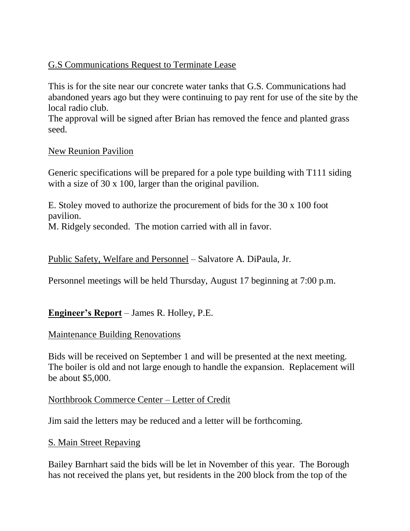# G.S Communications Request to Terminate Lease

This is for the site near our concrete water tanks that G.S. Communications had abandoned years ago but they were continuing to pay rent for use of the site by the local radio club.

The approval will be signed after Brian has removed the fence and planted grass seed.

## New Reunion Pavilion

Generic specifications will be prepared for a pole type building with T111 siding with a size of 30 x 100, larger than the original pavilion.

E. Stoley moved to authorize the procurement of bids for the 30 x 100 foot pavilion.

M. Ridgely seconded. The motion carried with all in favor.

## Public Safety, Welfare and Personnel – Salvatore A. DiPaula, Jr.

Personnel meetings will be held Thursday, August 17 beginning at 7:00 p.m.

## **Engineer's Report** – James R. Holley, P.E.

## Maintenance Building Renovations

Bids will be received on September 1 and will be presented at the next meeting. The boiler is old and not large enough to handle the expansion. Replacement will be about \$5,000.

## Northbrook Commerce Center – Letter of Credit

Jim said the letters may be reduced and a letter will be forthcoming.

## S. Main Street Repaving

Bailey Barnhart said the bids will be let in November of this year. The Borough has not received the plans yet, but residents in the 200 block from the top of the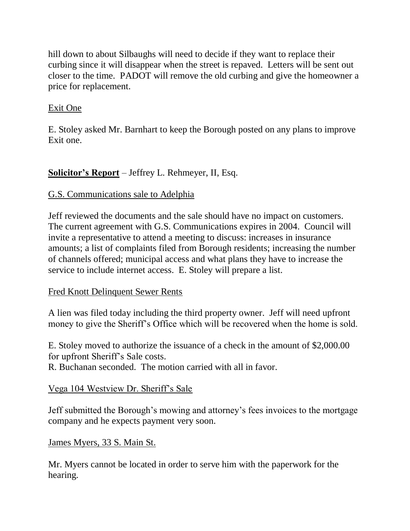hill down to about Silbaughs will need to decide if they want to replace their curbing since it will disappear when the street is repaved. Letters will be sent out closer to the time. PADOT will remove the old curbing and give the homeowner a price for replacement.

# Exit One

E. Stoley asked Mr. Barnhart to keep the Borough posted on any plans to improve Exit one.

# **Solicitor's Report** – Jeffrey L. Rehmeyer, II, Esq.

# G.S. Communications sale to Adelphia

Jeff reviewed the documents and the sale should have no impact on customers. The current agreement with G.S. Communications expires in 2004. Council will invite a representative to attend a meeting to discuss: increases in insurance amounts; a list of complaints filed from Borough residents; increasing the number of channels offered; municipal access and what plans they have to increase the service to include internet access. E. Stoley will prepare a list.

# Fred Knott Delinquent Sewer Rents

A lien was filed today including the third property owner. Jeff will need upfront money to give the Sheriff's Office which will be recovered when the home is sold.

E. Stoley moved to authorize the issuance of a check in the amount of \$2,000.00 for upfront Sheriff's Sale costs.

R. Buchanan seconded. The motion carried with all in favor.

# Vega 104 Westview Dr. Sheriff's Sale

Jeff submitted the Borough's mowing and attorney's fees invoices to the mortgage company and he expects payment very soon.

# James Myers, 33 S. Main St.

Mr. Myers cannot be located in order to serve him with the paperwork for the hearing.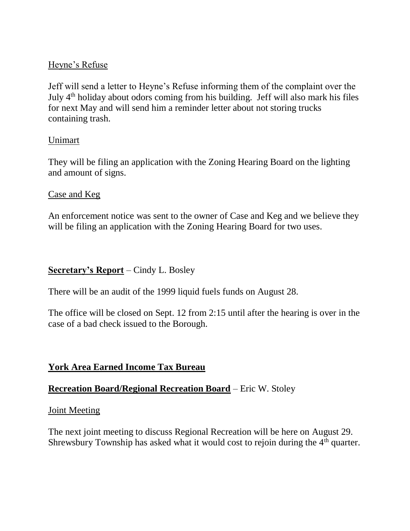## Heyne's Refuse

Jeff will send a letter to Heyne's Refuse informing them of the complaint over the July 4th holiday about odors coming from his building. Jeff will also mark his files for next May and will send him a reminder letter about not storing trucks containing trash.

## Unimart

They will be filing an application with the Zoning Hearing Board on the lighting and amount of signs.

#### Case and Keg

An enforcement notice was sent to the owner of Case and Keg and we believe they will be filing an application with the Zoning Hearing Board for two uses.

## **Secretary's Report** – Cindy L. Bosley

There will be an audit of the 1999 liquid fuels funds on August 28.

The office will be closed on Sept. 12 from 2:15 until after the hearing is over in the case of a bad check issued to the Borough.

## **York Area Earned Income Tax Bureau**

## **Recreation Board/Regional Recreation Board** – Eric W. Stoley

#### Joint Meeting

The next joint meeting to discuss Regional Recreation will be here on August 29. Shrewsbury Township has asked what it would cost to rejoin during the  $4<sup>th</sup>$  quarter.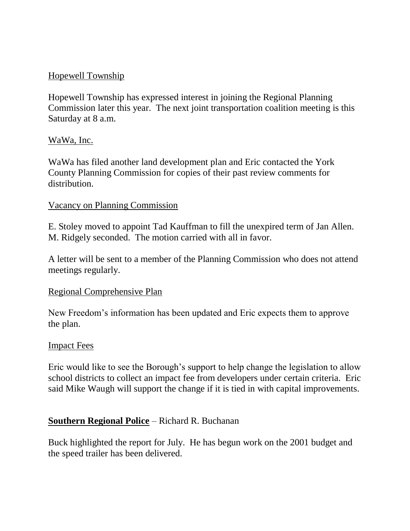# Hopewell Township

Hopewell Township has expressed interest in joining the Regional Planning Commission later this year. The next joint transportation coalition meeting is this Saturday at 8 a.m.

## WaWa, Inc.

WaWa has filed another land development plan and Eric contacted the York County Planning Commission for copies of their past review comments for distribution.

#### Vacancy on Planning Commission

E. Stoley moved to appoint Tad Kauffman to fill the unexpired term of Jan Allen. M. Ridgely seconded. The motion carried with all in favor.

A letter will be sent to a member of the Planning Commission who does not attend meetings regularly.

#### Regional Comprehensive Plan

New Freedom's information has been updated and Eric expects them to approve the plan.

#### Impact Fees

Eric would like to see the Borough's support to help change the legislation to allow school districts to collect an impact fee from developers under certain criteria. Eric said Mike Waugh will support the change if it is tied in with capital improvements.

## **Southern Regional Police** – Richard R. Buchanan

Buck highlighted the report for July. He has begun work on the 2001 budget and the speed trailer has been delivered.